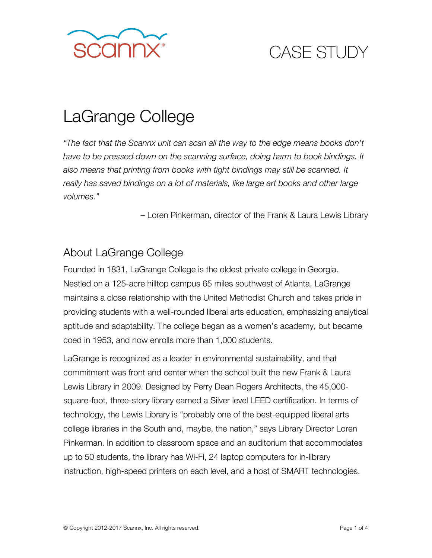

# LaGrange College

*"The fact that the Scannx unit can scan all the way to the edge means books don't have to be pressed down on the scanning surface, doing harm to book bindings. It also means that printing from books with tight bindings may still be scanned. It really has saved bindings on a lot of materials, like large art books and other large volumes."*

– Loren Pinkerman, director of the Frank & Laura Lewis Library

#### About LaGrange College

Founded in 1831, LaGrange College is the oldest private college in Georgia. Nestled on a 125-acre hilltop campus 65 miles southwest of Atlanta, LaGrange maintains a close relationship with the United Methodist Church and takes pride in providing students with a well-rounded liberal arts education, emphasizing analytical aptitude and adaptability. The college began as a women's academy, but became coed in 1953, and now enrolls more than 1,000 students.

LaGrange is recognized as a leader in environmental sustainability, and that commitment was front and center when the school built the new Frank & Laura Lewis Library in 2009. Designed by Perry Dean Rogers Architects, the 45,000 square-foot, three-story library earned a Silver level LEED certification. In terms of technology, the Lewis Library is "probably one of the best-equipped liberal arts college libraries in the South and, maybe, the nation," says Library Director Loren Pinkerman. In addition to classroom space and an auditorium that accommodates up to 50 students, the library has Wi-Fi, 24 laptop computers for in-library instruction, high-speed printers on each level, and a host of SMART technologies.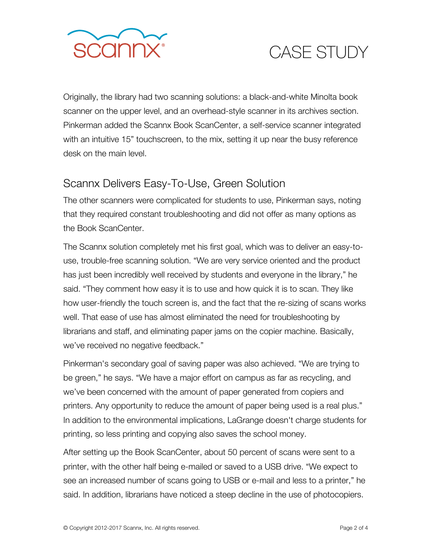

Originally, the library had two scanning solutions: a black-and-white Minolta book scanner on the upper level, and an overhead-style scanner in its archives section. Pinkerman added the Scannx Book ScanCenter, a self-service scanner integrated with an intuitive 15" touchscreen, to the mix, setting it up near the busy reference desk on the main level.

#### Scannx Delivers Easy-To-Use, Green Solution

The other scanners were complicated for students to use, Pinkerman says, noting that they required constant troubleshooting and did not offer as many options as the Book ScanCenter.

The Scannx solution completely met his first goal, which was to deliver an easy-touse, trouble-free scanning solution. "We are very service oriented and the product has just been incredibly well received by students and everyone in the library," he said. "They comment how easy it is to use and how quick it is to scan. They like how user-friendly the touch screen is, and the fact that the re-sizing of scans works well. That ease of use has almost eliminated the need for troubleshooting by librarians and staff, and eliminating paper jams on the copier machine. Basically, we've received no negative feedback."

Pinkerman's secondary goal of saving paper was also achieved. "We are trying to be green," he says. "We have a major effort on campus as far as recycling, and we've been concerned with the amount of paper generated from copiers and printers. Any opportunity to reduce the amount of paper being used is a real plus." In addition to the environmental implications, LaGrange doesn't charge students for printing, so less printing and copying also saves the school money.

After setting up the Book ScanCenter, about 50 percent of scans were sent to a printer, with the other half being e-mailed or saved to a USB drive. "We expect to see an increased number of scans going to USB or e-mail and less to a printer," he said. In addition, librarians have noticed a steep decline in the use of photocopiers.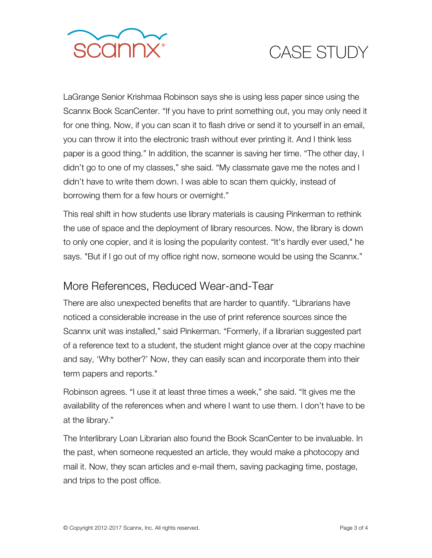

LaGrange Senior Krishmaa Robinson says she is using less paper since using the Scannx Book ScanCenter. "If you have to print something out, you may only need it for one thing. Now, if you can scan it to flash drive or send it to yourself in an email, you can throw it into the electronic trash without ever printing it. And I think less paper is a good thing." In addition, the scanner is saving her time. "The other day, I didn't go to one of my classes," she said. "My classmate gave me the notes and I didn't have to write them down. I was able to scan them quickly, instead of borrowing them for a few hours or overnight."

This real shift in how students use library materials is causing Pinkerman to rethink the use of space and the deployment of library resources. Now, the library is down to only one copier, and it is losing the popularity contest. "It's hardly ever used," he says. "But if I go out of my office right now, someone would be using the Scannx."

#### More References, Reduced Wear-and-Tear

There are also unexpected benefits that are harder to quantify. "Librarians have noticed a considerable increase in the use of print reference sources since the Scannx unit was installed," said Pinkerman. "Formerly, if a librarian suggested part of a reference text to a student, the student might glance over at the copy machine and say, 'Why bother?' Now, they can easily scan and incorporate them into their term papers and reports."

Robinson agrees. "I use it at least three times a week," she said. "It gives me the availability of the references when and where I want to use them. I don't have to be at the library."

The Interlibrary Loan Librarian also found the Book ScanCenter to be invaluable. In the past, when someone requested an article, they would make a photocopy and mail it. Now, they scan articles and e-mail them, saving packaging time, postage, and trips to the post office.